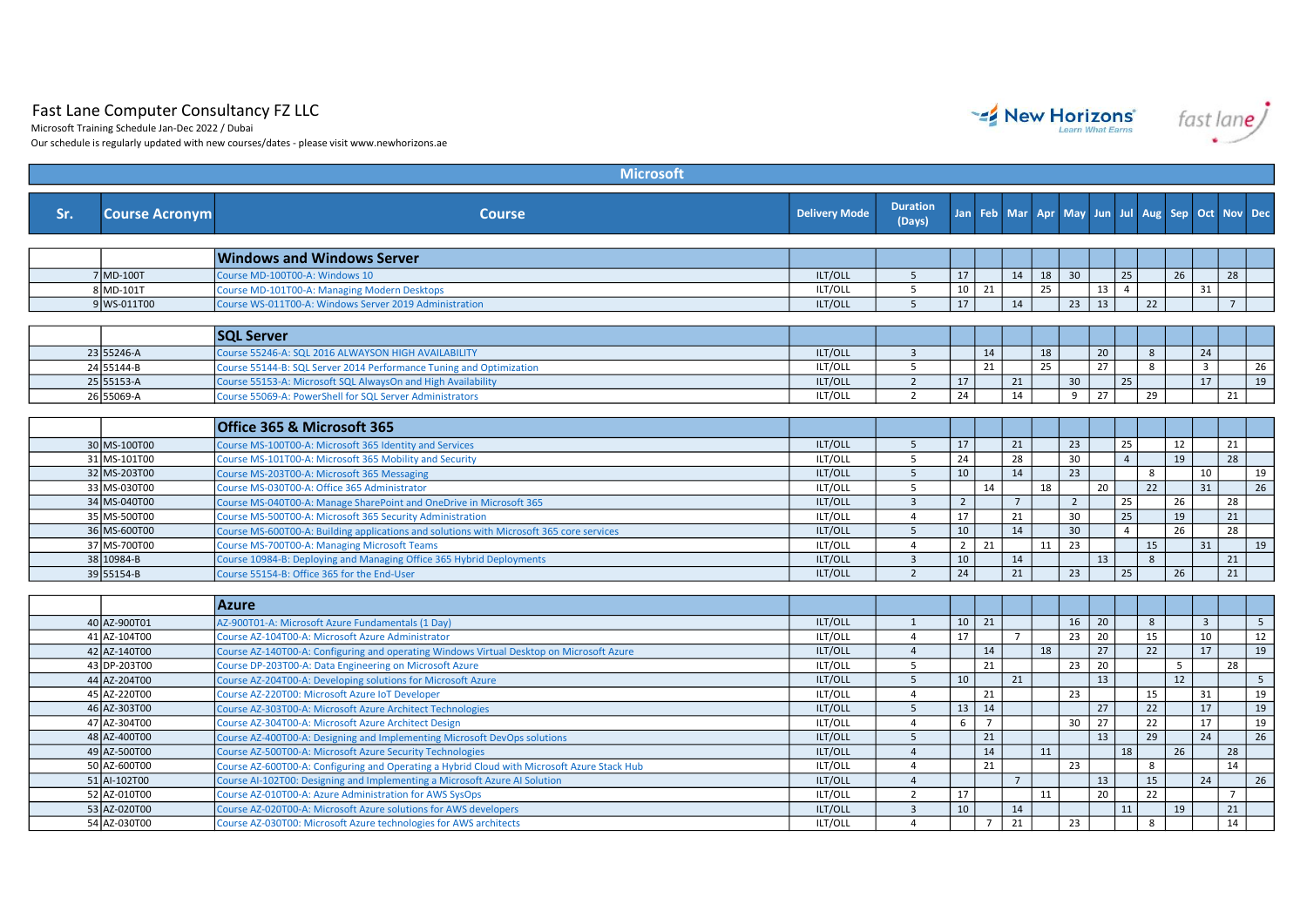## Fast Lane Computer Consultancy FZ LLC

Microsoft Training Schedule Jan-Dec 2022 / Dubai

Our schedule is regularly updated with new courses/dates - please visit www.newhorizons.ae

| <b>Microsoft</b> |                              |                                                                                                                                                     |                      |                                           |                 |                |                |             |                 |                                    |                      |          |    |                         |                 |                 |
|------------------|------------------------------|-----------------------------------------------------------------------------------------------------------------------------------------------------|----------------------|-------------------------------------------|-----------------|----------------|----------------|-------------|-----------------|------------------------------------|----------------------|----------|----|-------------------------|-----------------|-----------------|
| Sr.              | <b>Course Acronym</b>        | <b>Course</b>                                                                                                                                       | <b>Delivery Mode</b> | <b>Duration</b><br>(Days)                 | Jan             |                |                | Feb Mar Apr | May             | Jun.                               | Jul                  | Aug Sep  |    | Oct                     | <b>Nov</b>      | <b>Dec</b>      |
|                  |                              |                                                                                                                                                     |                      |                                           |                 |                |                |             |                 |                                    |                      |          |    |                         |                 |                 |
|                  |                              | <b>Windows and Windows Server</b>                                                                                                                   |                      |                                           |                 |                |                |             |                 |                                    |                      |          |    |                         |                 |                 |
|                  | 7 MD-100T<br>$8$ MD-101T     | Course MD-100T00-A: Windows 10                                                                                                                      | ILT/OLL<br>ILT/OLL   | 5<br>$5^{\circ}$                          | 17              |                | 14             | 18<br>25    | 30              | 13                                 | 25<br>$\overline{4}$ |          | 26 |                         | 28              |                 |
|                  | 9 WS-011T00                  | Course MD-101T00-A: Managing Modern Desktops                                                                                                        | ILT/OLL              | 5                                         | 17              | $10 \mid 21$   | 14             |             | 23              | 13                                 |                      | 22       |    | 31                      | $7\overline{ }$ |                 |
|                  |                              | Course WS-011T00-A: Windows Server 2019 Administration                                                                                              |                      |                                           |                 |                |                |             |                 |                                    |                      |          |    |                         |                 |                 |
|                  |                              |                                                                                                                                                     |                      |                                           |                 |                |                |             |                 |                                    |                      |          |    |                         |                 |                 |
|                  |                              | <b>SQL Server</b>                                                                                                                                   |                      |                                           |                 |                |                |             |                 |                                    |                      |          |    |                         |                 |                 |
|                  | 23 55246-A                   | Course 55246-A: SQL 2016 ALWAYSON HIGH AVAILABILITY                                                                                                 | ILT/OLL              | $\overline{\mathbf{3}}$                   |                 | 14             |                | 18          |                 | 20                                 |                      | 8        |    | 24                      |                 |                 |
|                  | 24 55144-B                   | Course 55144-B: SQL Server 2014 Performance Tuning and Optimization                                                                                 | ILT/OLL<br>ILT/OLL   | 5                                         |                 | 21             |                | 25          |                 | 27                                 |                      | 8        |    | $\overline{\mathbf{3}}$ |                 | 26              |
|                  | 25 55153-A<br>26 55069-A     | Course 55153-A: Microsoft SQL AlwaysOn and High Availability                                                                                        | ILT/OLL              | $\overline{2}$<br>$\overline{2}$          | 17<br>24        |                | 21<br>14       |             | 30<br>9         | 27                                 | 25                   | 29       |    | 17                      | 21              | 19              |
|                  |                              | Course 55069-A: PowerShell for SQL Server Administrators                                                                                            |                      |                                           |                 |                |                |             |                 |                                    |                      |          |    |                         |                 |                 |
|                  |                              |                                                                                                                                                     |                      |                                           |                 |                |                |             |                 |                                    |                      |          |    |                         |                 |                 |
|                  |                              | Office 365 & Microsoft 365                                                                                                                          |                      |                                           |                 |                |                |             |                 |                                    |                      |          |    |                         |                 |                 |
|                  | 30 MS-100T00                 | Course MS-100T00-A: Microsoft 365 Identity and Services                                                                                             | ILT/OLL              | 5                                         | 17              |                | 21             |             | 23              |                                    | 25                   |          | 12 |                         | 21              |                 |
|                  | 31 MS-101T00                 | Course MS-101T00-A: Microsoft 365 Mobility and Security                                                                                             | ILT/OLL              | $5^{\circ}$                               | 24              |                | 28             |             | $\overline{30}$ |                                    | $\overline{4}$       |          | 19 |                         | 28              |                 |
|                  | 32 MS-203T00                 | Course MS-203T00-A: Microsoft 365 Messaging                                                                                                         | ILT/OLL              | 5 <sup>5</sup>                            | 10              |                | 14             |             | $\overline{23}$ |                                    |                      | 8        |    | 10                      |                 | 19              |
|                  | 33 MS-030T00                 | Course MS-030T00-A: Office 365 Administrator                                                                                                        | ILT/OLL              | 5                                         |                 | 14             |                | 18          |                 | 20                                 |                      | 22       |    | 31                      |                 | 26              |
|                  | 34 MS-040T00                 | Course MS-040T00-A: Manage SharePoint and OneDrive in Microsoft 365                                                                                 | ILT/OLL              | $\overline{3}$                            | $\overline{2}$  |                | $\overline{7}$ |             | $\overline{2}$  |                                    | 25                   |          | 26 |                         | $\overline{28}$ |                 |
|                  | 35 MS-500T00                 | Course MS-500T00-A: Microsoft 365 Security Administration                                                                                           | ILT/OLL              | $\overline{4}$                            | 17              |                | 21             |             | $\overline{30}$ |                                    | 25                   |          | 19 |                         | 21              |                 |
|                  | 36 MS-600T00                 | Course MS-600T00-A: Building applications and solutions with Microsoft 365 core services                                                            | ILT/OLL              | 5 <sup>5</sup>                            | 10              |                | 14             |             | 30              |                                    | $\overline{4}$       |          | 26 |                         | 28              |                 |
|                  | 37 MS-700T00                 | Course MS-700T00-A: Managing Microsoft Teams                                                                                                        | ILT/OLL              | $\overline{4}$                            | 2 <sup>1</sup>  | 21             |                | 11          | 23              |                                    |                      | 15       |    | 31                      |                 | 19              |
|                  | 38 10984-B<br>39 55154-B     | Course 10984-B: Deploying and Managing Office 365 Hybrid Deployments<br>Course 55154-B: Office 365 for the End-User                                 | ILT/OLL<br>ILT/OLL   | $\overline{\mathbf{3}}$<br>$\overline{2}$ | 10<br>24        |                | 14<br>21       |             | 23              | 13                                 | 25                   | 8        | 26 |                         | 21<br>21        |                 |
|                  |                              |                                                                                                                                                     |                      |                                           |                 |                |                |             |                 |                                    |                      |          |    |                         |                 |                 |
|                  |                              | <b>Azure</b>                                                                                                                                        |                      |                                           |                 |                |                |             |                 |                                    |                      |          |    |                         |                 |                 |
|                  |                              |                                                                                                                                                     |                      |                                           |                 |                |                |             |                 |                                    |                      |          |    |                         |                 |                 |
|                  | 40 AZ-900T01<br>41 AZ-104T00 | AZ-900T01-A: Microsoft Azure Fundamentals (1 Day)                                                                                                   | ILT/OLL<br>ILT/OLL   | 1<br>$\overline{4}$                       | $\overline{17}$ | $10 \mid 21$   | $\overline{7}$ |             | 16              | $\overline{20}$<br>$\overline{20}$ |                      | 8        |    | $\overline{\mathbf{3}}$ |                 | $5\overline{5}$ |
|                  | 42 AZ-140T00                 | Course AZ-104T00-A: Microsoft Azure Administrator                                                                                                   |                      | $\overline{4}$                            |                 |                |                | 18          | 23              | 27                                 |                      | 15<br>22 |    | 10<br>17                |                 | 12<br>19        |
|                  | 43 DP-203T00                 | Course AZ-140T00-A: Configuring and operating Windows Virtual Desktop on Microsoft Azure<br>Course DP-203T00-A: Data Engineering on Microsoft Azure | ILT/OLL<br>ILT/OLL   | 5                                         |                 | 14<br>21       |                |             | 23              | 20                                 |                      |          | 5  |                         | 28              |                 |
|                  | 44 AZ-204T00                 | Course AZ-204T00-A: Developing solutions for Microsoft Azure                                                                                        | ILT/OLL              | 5                                         | 10              |                | 21             |             |                 | 13                                 |                      |          | 12 |                         |                 | 5 <sup>5</sup>  |
|                  | 45 AZ-220T00                 | Course AZ-220T00: Microsoft Azure IoT Developer                                                                                                     | ILT/OLL              | $\overline{4}$                            |                 | 21             |                |             | 23              |                                    |                      | 15       |    | 31                      |                 | 19              |
|                  | 46 AZ-303T00                 | Course AZ-303T00-A: Microsoft Azure Architect Technologies                                                                                          | ILT/OLL              | $5\overline{5}$                           | 13              | 14             |                |             |                 | 27                                 |                      | 22       |    | 17                      |                 | $\overline{19}$ |
|                  | 47 AZ-304T00                 | Course AZ-304T00-A: Microsoft Azure Architect Design                                                                                                | ILT/OLL              | $\overline{4}$                            | 6               | $\overline{7}$ |                |             | 30              | 27                                 |                      | 22       |    | 17                      |                 | 19              |
|                  | 48 AZ-400T00                 | Course AZ-400T00-A: Designing and Implementing Microsoft DevOps solutions                                                                           | ILT/OLL              | 5                                         |                 | 21             |                |             |                 | 13                                 |                      | 29       |    | 24                      |                 | 26              |
|                  | 49 AZ-500T00                 | Course AZ-500T00-A: Microsoft Azure Security Technologies                                                                                           | ILT/OLL              | $\overline{4}$                            |                 | 14             |                | 11          |                 |                                    | 18                   |          | 26 |                         | 28              |                 |
|                  | 50 AZ-600T00                 | Course AZ-600T00-A: Configuring and Operating a Hybrid Cloud with Microsoft Azure Stack Hub                                                         | ILT/OLL              | $\overline{a}$                            |                 | 21             |                |             | $\overline{23}$ |                                    |                      | 8        |    |                         | 14              |                 |
|                  | 51 Al-102T00                 | Course AI-102T00: Designing and Implementing a Microsoft Azure AI Solution                                                                          | ILT/OLL              | $\overline{4}$                            |                 |                | 7              |             |                 | 13                                 |                      | 15       |    | 24                      |                 | 26              |
|                  | 52 AZ-010T00                 | Course AZ-010T00-A: Azure Administration for AWS SysOps                                                                                             | ILT/OLL              | $\overline{2}$                            | 17              |                |                | 11          |                 | 20                                 |                      | 22       |    |                         | $\overline{7}$  |                 |
|                  | 53 AZ-020T00                 | Course AZ-020T00-A: Microsoft Azure solutions for AWS developers                                                                                    | ILT/OLL              | $\overline{3}$                            | 10              |                | 14             |             |                 |                                    | 11                   |          | 19 |                         | 21              |                 |
|                  | 54 AZ-030T00                 | Course AZ-030T00: Microsoft Azure technologies for AWS architects                                                                                   | ILT/OLL              | $\overline{4}$                            |                 | $\overline{7}$ | 21             |             | 23              |                                    |                      | 8        |    |                         | 14              |                 |
|                  |                              |                                                                                                                                                     |                      |                                           |                 |                |                |             |                 |                                    |                      |          |    |                         |                 |                 |



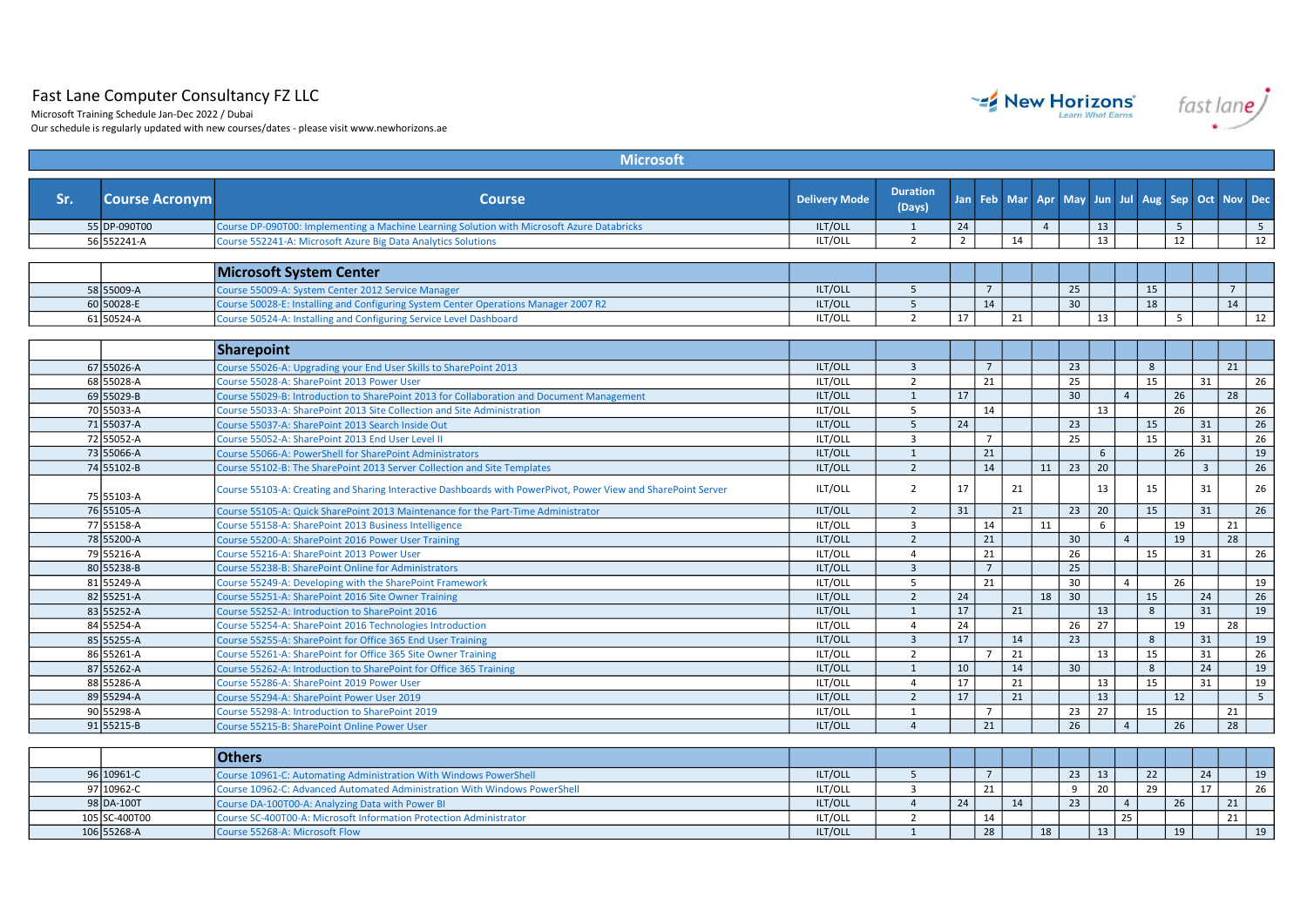## Fast Lane Computer Consultancy FZ LLC

Microsoft Training Schedule Jan-Dec 2022 / Dubai

Our schedule is regularly updated with new courses/dates - please visit www.newhorizons.ae

| <b>Microsoft</b> |                          |                                                                                                               |                      |                           |             |                      |    |                |                       |                 |                |                     |                 |             |                 |
|------------------|--------------------------|---------------------------------------------------------------------------------------------------------------|----------------------|---------------------------|-------------|----------------------|----|----------------|-----------------------|-----------------|----------------|---------------------|-----------------|-------------|-----------------|
| Sr.              | <b>Course Acronym</b>    | <b>Course</b>                                                                                                 | <b>Delivery Mode</b> | <b>Duration</b><br>(Days) |             |                      |    |                | Jan Feb Mar Apr May   | Jun Jul         |                | Aug Sep Oct Nov Dec |                 |             |                 |
|                  | 55 DP-090T00             | Course DP-090T00: Implementing a Machine Learning Solution with Microsoft Azure Databricks                    | ILT/OLL              | $\mathbf{1}$              | 24          |                      |    | $\overline{4}$ |                       | 13              |                | 5                   |                 |             | 5               |
|                  | 56 552241-A              | Course 552241-A: Microsoft Azure Big Data Analytics Solutions                                                 | ILT/OLL              | $\overline{2}$            | $2^{\circ}$ |                      | 14 |                |                       | 13              |                | 12                  |                 |             | 12              |
|                  |                          | <b>Microsoft System Center</b>                                                                                |                      |                           |             |                      |    |                |                       |                 |                |                     |                 |             |                 |
|                  | 58 55009-A               | Course 55009-A: System Center 2012 Service Manager                                                            | ILT/OLL              | 5                         |             | $7\overline{ }$      |    |                | 25                    |                 |                | 15                  |                 | $7^{\circ}$ |                 |
|                  | 60 50028-E               | Course 50028-E: Installing and Configuring System Center Operations Manager 2007 R2                           | ILT/OLL              | 5                         |             | 14                   |    |                | $\overline{30}$       |                 |                | $\overline{18}$     |                 | 14          |                 |
|                  | 61 50524-A               | Course 50524-A: Installing and Configuring Service Level Dashboard                                            | ILT/OLL              | $\overline{2}$            | 17          |                      | 21 |                |                       | 13              |                | 5                   |                 |             | 12              |
|                  |                          |                                                                                                               |                      |                           |             |                      |    |                |                       |                 |                |                     |                 |             |                 |
|                  |                          | <b>Sharepoint</b>                                                                                             |                      |                           |             |                      |    |                |                       |                 |                |                     |                 |             |                 |
|                  | 67 55026-A               | Course 55026-A: Upgrading your End User Skills to SharePoint 2013                                             | ILT/OLL              | $\overline{3}$            |             | $7\overline{ }$      |    |                | 23                    |                 |                | 8                   |                 | 21          |                 |
|                  | 68 55028-A               | Course 55028-A: SharePoint 2013 Power User                                                                    | ILT/OLL              | $\overline{2}$            |             | 21                   |    |                | 25                    |                 |                | 15                  | 31              |             | 26              |
|                  | 69 55029-B               | Course 55029-B: Introduction to SharePoint 2013 for Collaboration and Document Management                     | ILT/OLL              | $\mathbf{1}$              | 17          |                      |    |                | 30                    |                 | $\overline{4}$ | 26                  |                 | 28          |                 |
|                  | 70 55033-A               | Course 55033-A: SharePoint 2013 Site Collection and Site Administration                                       | ILT/OLL              | 5                         |             | 14                   |    |                |                       | 13              |                | 26                  |                 |             | 26              |
|                  | 71 55037-A               | Course 55037-A: SharePoint 2013 Search Inside Out                                                             | ILT/OLL              | 5                         | 24          |                      |    |                | 23                    |                 |                | 15                  | 31              |             | $\overline{26}$ |
|                  | 72 55052-A               | Course 55052-A: SharePoint 2013 End User Level II                                                             | ILT/OLL              | 3                         |             | $\overline{7}$       |    |                | 25                    |                 |                | 15                  | 31              |             | 26              |
|                  | 73 55066-A               | Course 55066-A: PowerShell for SharePoint Administrators                                                      | ILT/OLL              | 1                         |             | 21                   |    |                |                       | 6               |                | 26                  |                 |             | 19              |
|                  | 74 55102-B               | Course 55102-B: The SharePoint 2013 Server Collection and Site Templates                                      | ILT/OLL              | $\overline{2}$            |             | 14                   |    | 11             | $\overline{23}$       | $\overline{20}$ |                |                     | $\overline{3}$  |             | 26              |
|                  | 75 55103-A               | Course 55103-A: Creating and Sharing Interactive Dashboards with PowerPivot, Power View and SharePoint Server | ILT/OLL              | $\overline{2}$            | 17          |                      | 21 |                |                       | 13              |                | 15                  | 31              |             | 26              |
|                  | 76 55105-A               | Course 55105-A: Quick SharePoint 2013 Maintenance for the Part-Time Administrator                             | ILT/OLL              | $\overline{2}$            | 31          |                      | 21 |                | 23                    | 20              |                | 15                  | 31              |             | 26              |
|                  | 77 55158-A               | Course 55158-A: SharePoint 2013 Business Intelligence                                                         | ILT/OLL              | $\overline{3}$            |             | 14                   |    | 11             |                       | 6               |                | 19                  |                 | 21          |                 |
|                  | 78 55200-A               | Course 55200-A: SharePoint 2016 Power User Training                                                           | ILT/OLL              | $\overline{2}$            |             | 21                   |    |                | 30                    |                 | $\overline{4}$ | 19                  |                 | 28          |                 |
|                  | 79 55216-A               | Course 55216-A: SharePoint 2013 Power User                                                                    | ILT/OLL              | $\overline{4}$            |             | 21                   |    |                | 26                    |                 |                | 15                  | 31              |             | 26              |
|                  | 80 55238-B               | Course 55238-B: SharePoint Online for Administrators                                                          | ILT/OLL              | $\overline{3}$            |             | $7\overline{ }$      |    |                | 25                    |                 |                |                     |                 |             |                 |
|                  | 81 55249-A               | Course 55249-A: Developing with the SharePoint Framework                                                      | ILT/OLL              | 5                         |             | 21                   |    |                | 30                    |                 | $\overline{4}$ | 26                  |                 |             | 19              |
|                  | 82 55251-A               | Course 55251-A: SharePoint 2016 Site Owner Training                                                           | ILT/OLL              | $\overline{2}$            | 24          |                      |    | 18             | $\overline{30}$       |                 |                | $\overline{15}$     | 24              |             | 26              |
|                  | 83 55252-A               | Course 55252-A: Introduction to SharePoint 2016                                                               | ILT/OLL              | 1                         | 17          |                      | 21 |                |                       | 13              |                | 8                   | $\overline{31}$ |             | 19              |
|                  | 84 55254-A               | Course 55254-A: SharePoint 2016 Technologies Introduction                                                     | ILT/OLL              | $\overline{4}$            | 24          |                      |    |                | 26                    | 27              |                | 19                  |                 | 28          |                 |
|                  | 85 55255-A               | Course 55255-A: SharePoint for Office 365 End User Training                                                   | ILT/OLL              | $\overline{3}$            | 17          |                      | 14 |                | 23                    |                 |                | 8                   | 31              |             | 19              |
|                  | 86 55261-A               | Course 55261-A: SharePoint for Office 365 Site Owner Training                                                 | ILT/OLL              | $\overline{2}$            |             | $\overline{7}$       | 21 |                |                       | 13              |                | 15                  | 31              |             | 26              |
|                  | 87 55262-A               | Course 55262-A: Introduction to SharePoint for Office 365 Training                                            | ILT/OLL              | $\mathbf{1}$              | 10          |                      | 14 |                | 30                    |                 |                | 8                   | 24              |             | 19              |
|                  | 88 55286-A               | Course 55286-A: SharePoint 2019 Power User                                                                    | ILT/OLL              | $\overline{4}$            | 17          |                      | 21 |                |                       | 13              |                | 15                  | 31              |             | 19              |
|                  | 89 55294-A               | Course 55294-A: SharePoint Power User 2019                                                                    | ILT/OLL              | $\overline{2}$            | 17          |                      | 21 |                |                       | 13              |                | 12                  |                 |             | $5\overline{5}$ |
|                  | 90 55298-A<br>91 55215-B | Course 55298-A: Introduction to SharePoint 2019                                                               | ILT/OLL              | 1<br>$\overline{4}$       |             | $\overline{7}$<br>21 |    |                | 23<br>$\overline{26}$ | 27              |                | 15<br>26            |                 | 21          |                 |
|                  |                          | Course 55215-B: SharePoint Online Power User                                                                  | ILT/OLL              |                           |             |                      |    |                |                       |                 | $\overline{4}$ |                     |                 | 28          |                 |
|                  |                          | <b>Others</b>                                                                                                 |                      |                           |             |                      |    |                |                       |                 |                |                     |                 |             |                 |
|                  | 96 10961-C               | Course 10961-C: Automating Administration With Windows PowerShell                                             | ILT/OLL              | 5                         |             | $7\overline{ }$      |    |                | 23                    | 13              |                | 22                  | 24              |             | 19              |
|                  | 97 10962-C               | Course 10962-C: Advanced Automated Administration With Windows PowerShell                                     | ILT/OLL              | $\overline{3}$            |             | 21                   |    |                | 9                     | 20              |                | 29                  | 17              |             | 26              |
|                  | 98 DA-100T               | Course DA-100T00-A: Analyzing Data with Power BI                                                              | ILT/OLL              | $\overline{4}$            | 24          |                      | 14 |                | 23                    |                 | $\overline{4}$ | 26                  |                 | 21          |                 |
|                  | 105 SC-400T00            | Course SC-400T00-A: Microsoft Information Protection Administrator                                            | ILT/OLL              | $\overline{2}$            |             | 14                   |    |                |                       |                 | 25             |                     |                 | 21          |                 |
|                  | 106 55268-A              | Course 55268-A: Microsoft Flow                                                                                | ILT/OLL              | $\mathbf{1}$              |             | 28                   |    | 18             |                       | 13              |                | 19                  |                 |             | 19              |
|                  |                          |                                                                                                               |                      |                           |             |                      |    |                |                       |                 |                |                     |                 |             |                 |